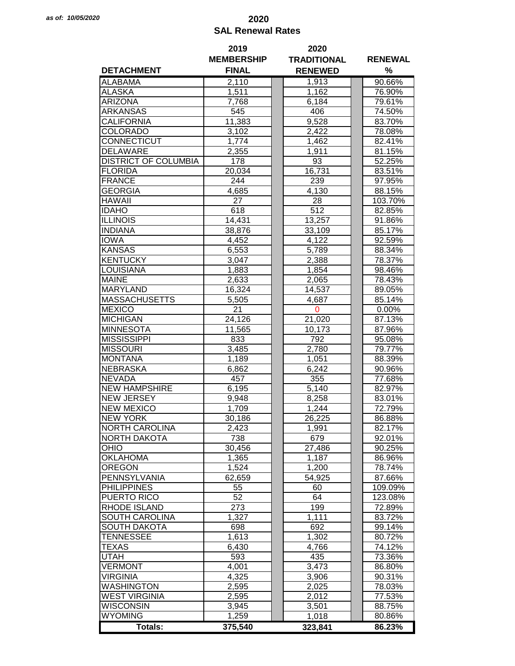## *as of: 10/05/2020* **2020 SAL Renewal Rates**

|                             | 2019              | 2020               |                |  |
|-----------------------------|-------------------|--------------------|----------------|--|
|                             | <b>MEMBERSHIP</b> | <b>TRADITIONAL</b> | <b>RENEWAL</b> |  |
| <b>DETACHMENT</b>           | <b>FINAL</b>      | <b>RENEWED</b>     | %              |  |
| <b>ALABAMA</b>              | 2,110             | 1,913              | 90.66%         |  |
| <b>ALASKA</b>               | 1,511             | 1,162              | 76.90%         |  |
| <b>ARIZONA</b>              | 7,768             | 6,184              | 79.61%         |  |
| <b>ARKANSAS</b>             | 545               | 406                | 74.50%         |  |
| <b>CALIFORNIA</b>           | 11,383            | 9,528              | 83.70%         |  |
| <b>COLORADO</b>             | 3,102             | 2,422              | 78.08%         |  |
| CONNECTICUT                 | 1,774             | 1,462              | 82.41%         |  |
| <b>DELAWARE</b>             | 2,355             | 1,911              | 81.15%         |  |
| <b>DISTRICT OF COLUMBIA</b> | 178               | 93                 | 52.25%         |  |
| <b>FLORIDA</b>              |                   | 16,731             | 83.51%         |  |
| <b>FRANCE</b>               | 20,034<br>244     |                    |                |  |
|                             |                   | 239                | 97.95%         |  |
| <b>GEORGIA</b>              | 4,685             | 4,130              | 88.15%         |  |
| <b>HAWAII</b>               | 27                | 28                 | 103.70%        |  |
| <b>IDAHO</b>                | 618               | 512                | 82.85%         |  |
| <b>ILLINOIS</b>             | 14,431            | 13,257             | 91.86%         |  |
| <b>INDIANA</b>              | 38,876            | 33,109             | 85.17%         |  |
| <b>IOWA</b>                 | 4,452             | 4,122              | 92.59%         |  |
| <b>KANSAS</b>               | 6,553             | 5,789              | 88.34%         |  |
| <b>KENTUCKY</b>             | 3,047             | 2,388              | 78.37%         |  |
| <b>LOUISIANA</b>            | 1,883             | 1,854              | 98.46%         |  |
| <b>MAINE</b>                | 2,633             | 2,065              | 78.43%         |  |
| <b>MARYLAND</b>             | 16,324            | 14,537             | 89.05%         |  |
| <b>MASSACHUSETTS</b>        | 5,505             | 4,687              | 85.14%         |  |
| <b>MEXICO</b>               | 21                | 0                  | $0.00\%$       |  |
| <b>MICHIGAN</b>             | 24,126            | 21,020             | 87.13%         |  |
| <b>MINNESOTA</b>            | 11,565            | 10,173             | 87.96%         |  |
| <b>MISSISSIPPI</b>          | 833               | 792                | 95.08%         |  |
| <b>MISSOURI</b>             | 3,485             | 2,780              | 79.77%         |  |
| <b>MONTANA</b>              | 1,189             | 1,051              | 88.39%         |  |
| <b>NEBRASKA</b>             | 6,862             | 6,242              | 90.96%         |  |
| <b>NEVADA</b>               | 457               | 355                | 77.68%         |  |
| <b>NEW HAMPSHIRE</b>        | 6,195             | 5,140              | 82.97%         |  |
| <b>NEW JERSEY</b>           | 9,948             | 8,258              | 83.01%         |  |
| <b>NEW MEXICO</b>           | 1,709             | 1,244              | 72.79%         |  |
| <b>NEW YORK</b>             | 30,186            | 26,225             | 86.88%         |  |
| <b>NORTH CAROLINA</b>       | 2,423             | 1,991              | 82.17%         |  |
| <b>NORTH DAKOTA</b>         | 738               | 679                | 92.01%         |  |
| OHIO                        | 30,456            | 27,486             | 90.25%         |  |
| <b>OKLAHOMA</b>             | 1,365             | 1,187              | 86.96%         |  |
| <b>OREGON</b>               | 1,524             | 1,200              | 78.74%         |  |
| PENNSYLVANIA                | 62,659            | 54,925             | 87.66%         |  |
| <b>PHILIPPINES</b>          | 55                | 60                 | 109.09%        |  |
| PUERTO RICO                 | 52                | 64                 | 123.08%        |  |
|                             |                   |                    |                |  |
| <b>RHODE ISLAND</b>         | 273               | 199                | 72.89%         |  |
| <b>SOUTH CAROLINA</b>       | 1,327             | 1,111              | 83.72%         |  |
| <b>SOUTH DAKOTA</b>         | 698               | 692                | 99.14%         |  |
| <b>TENNESSEE</b>            | 1,613             | 1,302              | 80.72%         |  |
| <b>TEXAS</b>                | 6,430             | 4,766              | 74.12%         |  |
| <b>UTAH</b>                 | 593               | 435                | 73.36%         |  |
| <b>VERMONT</b>              | 4,001             | 3,473              | 86.80%         |  |
| <b>VIRGINIA</b>             | 4,325             | 3,906              | 90.31%         |  |
| <b>WASHINGTON</b>           | 2,595             | 2,025              | 78.03%         |  |
| <b>WEST VIRGINIA</b>        | 2,595             | 2,012              | 77.53%         |  |
| <b>WISCONSIN</b>            | 3,945             | 3,501              | 88.75%         |  |
| <b>WYOMING</b>              | 1,259             | 1,018              | 80.86%         |  |
| Totals:                     | 375,540           | 323,841            | 86.23%         |  |